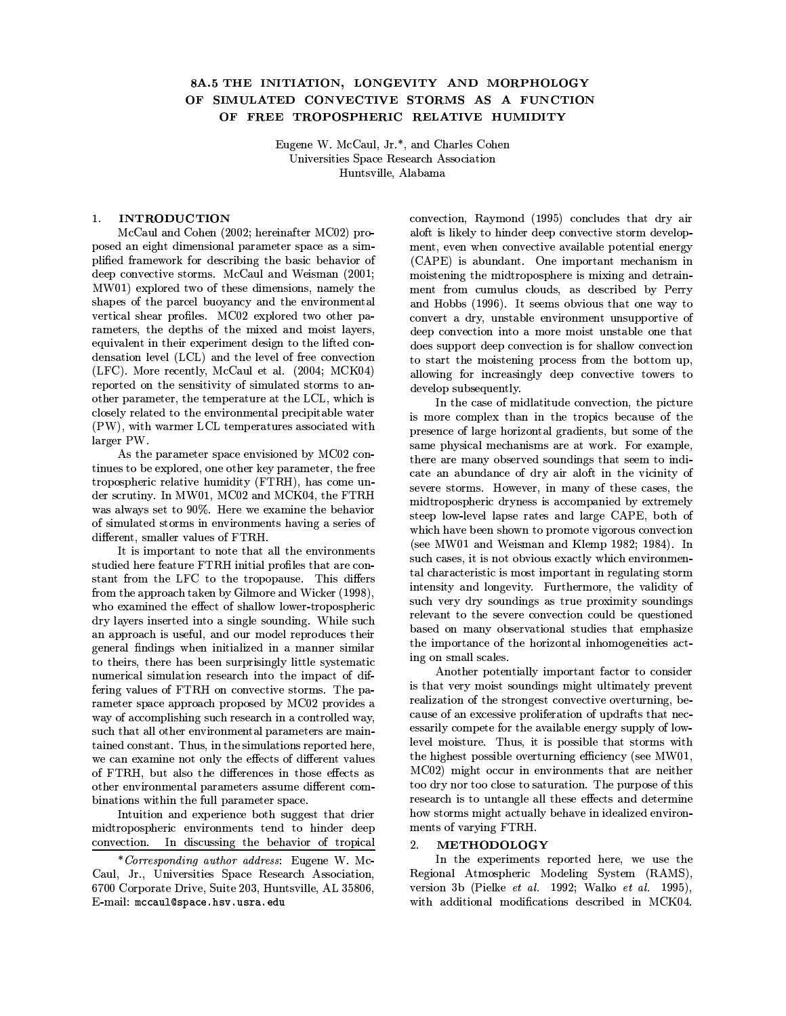# 8A.5 THE INITIATION, LONGEVITY AND MORPHOLOGY OF SIMULATED CONVECTIVE STORMS AS A FUNCTION OF FREE TROPOSPHERIC RELATIVE HUMIDITY

Eugene W. McCaul, Jr.\*, and Charles Cohen Universities Space Research Association Huntsville, Alabama

### **INTRODUCTION**  $\mathbf{1}$

McCaul and Cohen (2002; hereinafter MC02) proposed an eight dimensional parameter space as a simplified framework for describing the basic behavior of deep convective storms. McCaul and Weisman (2001; MW01) explored two of these dimensions, namely the shapes of the parcel buoyancy and the environmental vertical shear profiles. MC02 explored two other parameters, the depths of the mixed and moist layers, equivalent in their experiment design to the lifted condensation level (LCL) and the level of free convection (LFC). More recently, McCaul et al. (2004; MCK04) reported on the sensitivity of simulated storms to another parameter, the temperature at the LCL, which is closely related to the environmental precipitable water (PW), with warmer LCL temperatures associated with larger PW.

As the parameter space envisioned by MC02 continues to be explored, one other key parameter, the free tropospheric relative humidity (FTRH), has come under scrutiny. In MW01, MC02 and MCK04, the FTRH was always set to 90%. Here we examine the behavior of simulated storms in environments having a series of different, smaller values of FTRH.

It is important to note that all the environments studied here feature FTRH initial profiles that are constant from the LFC to the tropopause. This differs from the approach taken by Gilmore and Wicker (1998). who examined the effect of shallow lower-tropospheric dry layers inserted into a single sounding. While such an approach is useful, and our model reproduces their general findings when initialized in a manner similar to theirs, there has been surprisingly little systematic numerical simulation research into the impact of differing values of FTRH on convective storms. The parameter space approach proposed by MC02 provides a way of accomplishing such research in a controlled way, such that all other environmental parameters are maintained constant. Thus, in the simulations reported here. we can examine not only the effects of different values of FTRH, but also the differences in those effects as other environmental parameters assume different combinations within the full parameter space.

Intuition and experience both suggest that drier midtropospheric environments tend to hinder deep convection. In discussing the behavior of tropical

convection, Raymond (1995) concludes that dry air aloft is likely to hinder deep convective storm development, even when convective available potential energy (CAPE) is abundant. One important mechanism in moistening the midtroposphere is mixing and detrainment from cumulus clouds, as described by Perry and Hobbs (1996). It seems obvious that one way to convert a dry, unstable environment unsupportive of deep convection into a more moist unstable one that does support deep convection is for shallow convection to start the moistening process from the bottom up, allowing for increasingly deep convective towers to develop subsequently.

In the case of midlatitude convection, the picture is more complex than in the tropics because of the presence of large horizontal gradients, but some of the same physical mechanisms are at work. For example, there are many observed soundings that seem to indicate an abundance of dry air aloft in the vicinity of severe storms. However, in many of these cases, the midtropospheric dryness is accompanied by extremely steep low-level lapse rates and large CAPE, both of which have been shown to promote vigorous convection (see MW01 and Weisman and Klemp 1982; 1984). In such cases, it is not obvious exactly which environmental characteristic is most important in regulating storm intensity and longevity. Furthermore, the validity of such very dry soundings as true proximity soundings relevant to the severe convection could be questioned based on many observational studies that emphasize the importance of the horizontal inhomogeneities acting on small scales.

Another potentially important factor to consider is that very moist soundings might ultimately prevent realization of the strongest convective overturning, because of an excessive proliferation of updrafts that necessarily compete for the available energy supply of lowlevel moisture. Thus, it is possible that storms with the highest possible overturning efficiency (see MW01, MC02) might occur in environments that are neither too dry nor too close to saturation. The purpose of this research is to untangle all these effects and determine how storms might actually behave in idealized environments of varying FTRH.

#### $2^{\circ}$ METHODOLOGY

In the experiments reported here, we use the Regional Atmospheric Modeling System (RAMS), version 3b (Pielke et al. 1992; Walko et al. 1995), with additional modifications described in MCK04.

<sup>\*</sup>Corresponding author address: Eugene W. Mc-Caul, Jr., Universities Space Research Association, 6700 Corporate Drive, Suite 203, Huntsville, AL 35806, E-mail: mccaul@space.hsv.usra.edu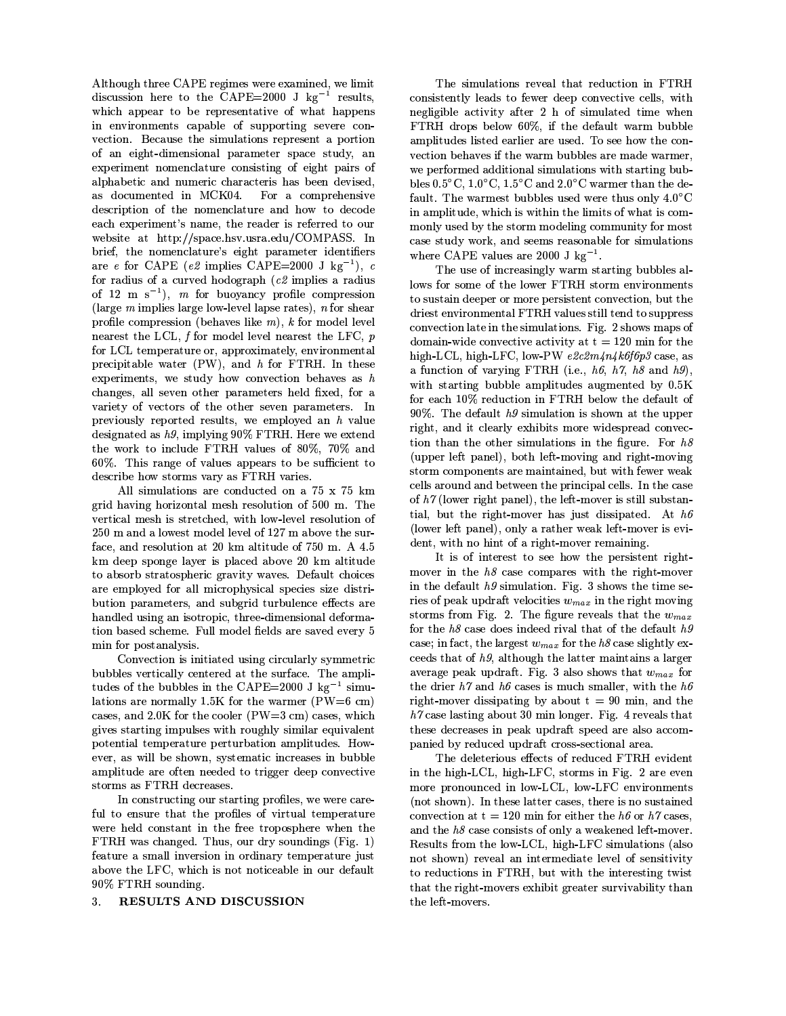$\mathbf{1}$  and  $\mathbf{2}$  and  $\mathbf{3}$  and  $\mathbf{4}$  and  $\mathbf{5}$  and  $\mathbf{6}$  and  $\mathbf{7}$  and  $\mathbf{8}$  and  $\mathbf{9}$  and  $\mathbf{10}$  and  $\mathbf{11}$  and  $\mathbf{12}$  and  $\mathbf{13}$  and  $\mathbf{14}$  and  $\mathbf{15}$  and  $\mathbf{16}$  and  $\mathbf{1$  $\blacksquare$  $\sim$  9Y  $\sim$  9Y  $\sim$  9Y  $\sim$  9Y  $\sim$  9Y  $\sim$  9Y  $\sim$  9Y  $\sim$  9Y  $\sim$  9Y  $\sim$  9Y  $\sim$  9Y  $\sim$  9Y  $\sim$  9Y  $\sim$  9Y  $\sim$  9Y  $\sim$  9Y  $\sim$  9Y  $\sim$  9Y  $\sim$  9Y  $\sim$  9Y  $\sim$  9Y  $\sim$  9Y  $\sim$  9Y  $\sim$  9Y  $\sim$  9Y  $\sim$  9Y  $\sim$  9Y  $\sim$   $\blacksquare$ `WD:K/bZ\_k]EF.H>D:KNO@C\aDbZY-D\a\_[p4@-PNMbZ\_[]nFC\ UZD:e-UZD:\aDFmb+NeT]EUabZ\_[]nF  $\blacksquare$ experiment nomenclature consisting of eight pairs of NEP[e-YJNEoTD/bZ\_kKNEFCX§Fm@CpD/UZ\_kK)K6YJNMU6NEKbZDUZ\_[\YCNE\oTD:DF¥XfD:`m\_k\aD:XQ NE\¼X-]jK:@-pD:FjbZDX©\_[F IL>#vEfH C]OU1NªK:]Epe-UZD: The contract of the contract of the contract of the contract of the contract of the contract of the contract of  $\mathcal{A}$  and  $\mathcal{A}$  and  $\mathcal{A}$  and  $\mathcal{A}$  and  $\mathcal{A}$  and  $\mathcal{A}$  and  $\mathcal{A}$  and  $\mathcal{A}$  and  $\mathcal{A}$  and  $\mathcal{A}$  and  $\mathcal{A}$  and  $\mathcal{A}$  and  $\mathcal{A}$  and  $\mathcal{A}$  and  $\mathcal{A}$  and  $\mathcal{A}$  and  $\mathcal{A}$  and DNOK/YDfeTDUZ\_[pD:Fjb \#FJNOpDnQbZYCDUZDNEX-DU \_[\ UZDx}DUaUZDXbZ]]n@fU  $\blacksquare$ o-UZ\_[DxQbZYCD§FC]EpD:FCKPNMbZ@-UZD \D:\_[BnYjbeCNOU6NEpD/bZDU\_kX-DFmbZ\_c|CDUZ\ NOUPLIES AND INTERNATIONAL CONTRACT OF A RESERVE AND INTERNATIONAL CONTRACT OF A RESERVE AND INTERNATIONAL CONTRACT OF A RESERVE AND INTERNATIONAL CONTRACT OF A RESERVE AND INTERNATIONAL CONTRACT OF A RESERVE AND INTERNATI x]OU U6NEX-\_[@C\#]Ox9NK:@-UZ`nDXY-]mX-]EBEU6NEe-Ys
)\_[peCP[\_[D:\#NU6NnXf\_k@-\  $\alpha$  and  $\alpha$  and  $\alpha$  and  $\alpha$  $\mathcal{P}$ e-UZ]O|JP[DK:]npefUZD:\a\a\_[]nF¨sRoTD:YJN`WD\!P[\_[WD#y/Q5x]EU<p]mX-D:PPkD`WD:P FCD:NOUZD:\bbZY-DLAQhx}]EU#p]mX-DPPkD`WD:PFCD:NOUZD:\bbZY-DL!Qr² e-Amb e-uzbcane-uzdkondight-bane-uzbcane-uzbcane-uzbcane-uzbcane-uzbcane-uzbcane-uzbcane-uzbcane-uzbcane-uzbcane-uzb experiments, we study how convection behaves as  $h$ K6YJNEF-BnD:\:Q!NOPkP!\aD:`WD:F¥]EbZYCD/UeCNOU6NEpD/bZDUZ\)YCD:PkX|--D:XQx}]EUN  $\Sigma$  and  $\Sigma$  and  $\Sigma$  and  $\Sigma$ e-UZD`f\_[]E@C\aPcUZD:eT]EUabZD:XUZD:\a@-PcbZ\:Q5~DDpeCP[]jDXNEF1º¨`ENEP[@and the color contracts of the color of the color of the color of the color of the color of the color of the color of the color of the color of the color of the color of the color of the color of the color of the color of ° । । । चलकरूट । ∂⊙⊙⊜ ≡⊙/ल । ⊞UII  $k\to N$ -Hy-reference  $\mu$  and  $\mu$  and  $\mu$  and  $\mu$  $\Sigma$  and  $\Sigma$  and  $\Sigma$  and  $\Sigma$  and  $\Sigma$ 

i!P[P<\a\_[p @CPkNObZ\_[]nF-\NMUZDK:]nFCX-@CK/bZDX¥]nFN ¿Â ¿Â{mp arthur by the contract of the contract of the contract of the contract of the contract of the contract of the c vertical mesh is stretched, with low-level resolution of awa ilma ilma haawa ilma haar a kirko balan alah amalah kalendar dina di mp X-D:D:e\aeT]EFCBEDPkN:jDU \_[\4eCPkNOK:DX¨NEoT]M`WDtEvmp NEPcbZ\_cbZ@JXfD  $\blacksquare$  $\blacksquare$  $\blacksquare$  and  $\blacksquare$ YJNOFJXfPkD:X)@-\a\_[FCBNEF+\_[\a]EbaUZ]ne-\_[KnQmbZY-UZD:DzXf\_kpDFC\a\_[]nFCNEPTXfDx]OUZp)NOz  $\overline{\phantom{X}}$  , and  $\overline{\phantom{X}}$  , and  $\overline{\phantom{X}}$  , and  $\overline{\phantom{X}}$  , and  $\overline{\phantom{X}}$  , and  $\overline{\phantom{X}}$  , and  $\overline{\phantom{X}}$ min for postanalysis.

L>]nFm`WD:K/bZ\_k]EF\_[\\*\_[FC\_cbZ\_kNObZDX@-\a\_[FCBK:\_cUZK:@-PkNOUZPc\fppDbaUZ\_[K oco-Photo and the co-Photo and the co-Photo and the co-Photo and the co-Photo and the co-Photo and the co-Photo and the co-Photo and the co-Photo and the co-Photo and the co-Photo and the co-Photo and the co-Photo and the bZ@JXfD:\h]ExAbZYCDoC@-oCoCP[D:\9\_[FbZYCD Li<?tEvnvEvS)mB - \a\_[p4@fz t is the same of the same of the same of the same of the same of the same of the same of the same of the same o cases, and  $2.0K$  for the cooler (PW=3 cm) cases, which  $B_n$  and the contraction of the contraction of the contraction of the contraction of the contraction of the contraction of the contraction of the contraction of the contraction of the contraction of the contraction of the eTDUA bZDFmbZD:peTD/U6NObZ@-ZoCNObZ@-ZOCNObZ@-ZOCNObZ@-ZOCNObZ@-ZOCNObZ@-ZOCNObZ@-ZOCNOBZ@-ZOCNOBZ@-ZOCNOBZ@-ZOCNO  $\Pi$  . The co-dimensional distribution of the co-dimensional distribution of the co-dimensional distribution of the co-NEper Partners and the property of the partners of the partners of the partners of the partners of the partners of the partners of the partners of the partners of the partners of the partners of the partners of the partner storms as FTRH decreases.

 $\mathcal{L}$  $\rho$  and the contraction of the contraction of the contraction of the contraction of the contraction of the contraction of the contraction of the contraction of the contraction of the contraction of the contraction of the ~D/UZDY-D:PkX¥K:]EFC\b6NEFjb+\_[FbZYCDxUZD:DbaUZ]neT]E\aeCYCD/UZD~9Y-D:F¥bZY-<sup>D</sup> ghl¼~\*NO\!K6YJNOFCBnD:XH>Yf@-\:QJ]E@-U!XfUa+\a]n@-FJXf\_kF-Bn\s\_[B-<sup>H</sup> <sup>q</sup> <sup>y</sup>  $\overline{\phantom{A}}$  and  $\overline{\phantom{A}}$  . The contraction of  $\overline{\phantom{A}}$ NEOTHER RESERVED AND LOT OF A RESERVED ASSOCIATE AND LOT OF A RESERVED OF A RESERVED OF A RESERVED OF A RESERVED OF A RESERVED OF A RESERVED OF A RESERVED OF A RESERVED OF A RESERVED OF A RESERVED OF A RESERVED OF A RESERV nvn×g!l¼\a]n@CFCX-\_[FCBfH

## $3.$  RESULTS AND DISCUSSION  $\;$

words are the contract of the contract of the contract of the contract of the contract of the contract of the contract of the contract of the contract of the contract of the contract of the contract of the contract of the  $\blacksquare$  . The contract of the contract of the contract of the contract of the contract of the contract of the contract of the contract of the contract of the contract of the contract of the contract of the contract of the F-D:BnP[\_[Bn\_[oCP[D§NEK/bZ\_k`m\_cb NMx}bZDU{t§Y ]Ex\a\_[p @CPkNObZDXbZ\_[pD~9YCDF ghl XmUZ]neC\oTDPk]~ <sup>¾</sup> vn+Q\*\_cx5bZY-DX-DxNE@-P[b~NOUZpÔo-@CoCo-P[D  $N$  . The contract  $N$  is the contract of  $N$  is the contract of  $N$  is the contract of  $N$  is the contract of  $N$  $\mathcal{M}$  and  $\mathcal{M}$  and  $\mathcal{M}$  and  $\mathcal{M}$  and  $\mathcal{M}$  and  $\mathcal{M}$  and  $\mathcal{M}$ ~>DheTD/Uax]EUZpD:XNnX-X-\_cbZ\_[]nFJNOPC\a\_[p4@-PkNObZ\_[]nF-\~9\_cbZY\b6NMUabZ\_kF-BoC@-o-<sup>z</sup> the and a show the color that the color that the color of the color of the color of the color of the color of the color of the color of the color of the color of the color of the color of the color of the color of the colo xNE@CPcbH2YCD5~NOUZpD:\bho-@CoCo-P[D:\\*@C\aDX)~DUZD5bZYm@-\\*]nFCPc+-<sup>H</sup> <sup>v</sup> <sup>L</sup> \_[F)NEpe-P[\_[bZ@CX-DnQE~9YC\_[K6Y\_[\2~9\_cbZYC\_[FbZYCD\*P[\_[p\_cbZ\2]OxT~9YJNMb\_[\2K]npz  $\blacksquare$  $\blacksquare$  $\sim$  0.99  $\sim$  0.99  $\sim$  1.000  $\sim$  1.000  $\sim$  1.000  $\sim$  1.000  $\sim$  1.000  $\sim$  1.000  $\sim$  1.000  $\sim$  1.000  $\sim$  1.000  $\sim$  1.000  $\sim$  1.000  $\sim$  1.000  $\sim$  1.000  $\sim$  1.000  $\sim$  1.000  $\sim$  1.000  $\sim$  1.000  $\sim$  1.000  $\sim$ 

 $\ddot{\phantom{a}}$  90%. The default h9 simulation is shown at the upper  $\begin{bmatrix} \text{number left panel} \\ \text{both left-moving and right-moving} \end{bmatrix}$ of  $h\gamma$  (lower right panel) the left-mover is still substanwas and the second of the second of the second of the second of the second of the second of the second of the s  $\blacksquare$  $\Sigma$  and the components of the components of the components of the components of the components of the components of the components of the components of the components of the components of the components of the components  $\dot{\rm{driest}}$  environmental FTRH values still tend to suppress  $\blacksquare$  $\mathcal{A}$  and  $\mathcal{A}$  and  $\mathcal{A}$  and  $\mathcal{A}$  and  $\mathcal{A}$ we have a find the set of the set of the set of the set of the set of the set of the set of the set of the set Nx}@CF-KbZ\_[]nF]Ox9`nNMUa-\_[F-Bg!l½sR\_RH DEHkQ>º&OQ2º+\*MQº,)NEFCXºy/Q  $-9.6\pm0.00$ x}]EU#DNOK/Y <sup>q</sup> vWUZDX-@-KbZ\_[]nF\_kFghl¦oTD:P[]~ÑbZYCD4X-DxNE@-P[b#]Ox  $\mathcal{L}$  , and the contract of the contract of the contract of the contract of the contract of the contract of the contract of the contract of the contract of the contract of the contract of the contract of the contract o  $\alpha$  and  $\alpha$  and  $\alpha$  and  $\alpha$  $\Box$  $\mathcal{L}$  and  $\mathcal{L}$  and  $\mathcal{L}$  are the bazych binary contributions of  $\mathcal{L}$  . The bazycal binary contribution of  $\mathcal{L}$ bZ\_kNEPRQ<oC@-b+bZYCDUZ\_[BnYjbazup]M`WDU+YJNO\@C\bXf\_[\a\a\_keCNObZDXrHªibº-&  $\mathcal{P}$  $\blacksquare$ 

> $\bullet$  and  $\bullet$  and  $\bullet$  and  $\bullet$  and  $\bullet$  and  $\bullet$  and  $\bullet$  and  $\bullet$  and  $\bullet$  and  $\bullet$  and  $\bullet$  and  $\bullet$  and  $\bullet$  and  $\bullet$  and  $\bullet$  and  $\bullet$  and  $\bullet$  and  $\bullet$  and  $\bullet$  and  $\bullet$  and  $\bullet$  and  $\bullet$  and  $\bullet$  and  $\bullet$  and  $\bullet$  p]M`WDU)\_[F¥bZY-Dº,KNE\aDK:]EpeJNMUZD:\+~9\_cbZY¥bZY-DUZ\_[BnYjbazup]O`nDU  $\blacksquare$  $\Pi$  , and  $\Pi$  , and  $\Pi$  , and  $\Pi$  , and  $\Pi$  , and  $\Pi$  $\Box$ x}]EUhbZYCD º,#KNO\aD Xf]jD:\h\_kFCX-D:D:XUZ\_[`nNOP.bZYJNMbh]ExbZYCD#XfDxRNO@CPcbº  $\blacksquare$ K:DDX-\>bZYCNOb\*]OxºOQCNOPcbZYC]n@-BnY)bZYCD!PNMbabZDU9p)NE\_[Fjb6NE\_[F-\N PkNMUZBnDU N`WDU6NOBnDeTDNO@-erXfU6NMx}bH\_[B-H>ÁNEP[\a]\aY-]M~9\\*bZYCNOb!.!01 24x}]EU bZY-D XmUZ\_[DU#º-\*NOFJXº-&5KNO\aD:\5\_[\hp4@CK6Y\ap)NOP[PkD/UQT~9\_[bZYbZY-D4º-&  $\mathcal{M}^{\mathcal{B}}$  , and the set of the set of the set of the set of the set of the set of the set of the set of the set of the set of the set of the set of the set of the set of the set of the set of the set of the set of t º+\*>KNO\aD9PNO\bZ\_[FCBNEoT]E@-b2Ánv5p\_[F4P[]EFCBnD/UH>\_[BfH5UZD:`WDNOP[\bZYCNOb  $\blacksquare$ econe extensive and the control of the control of the control of the control of the control of the control of the control of the control of the control of the control of the control of the control of the control of the con

YCD)XfD:P[DbZDUZ\_[]n@-\ D/rD:KbZ\]Ex\*UZDXf@CK:DXg!lD:`m\_XfD:Fjb  $\blacksquare$  $\blacksquare$  $\mathcal{F}_-$  is the NFT  $\mathcal{F}_$ convection at  $t = 120$  min for either the h6 or h7 cases, NOFJXbZYCDº,<KNO\aD5K:]EFC\a\_[\bZ\\*]Ex.]nF-P[+N~D:NEWD:F-DXP[Dx}bazup]M`WDUH ghD:\a@CPcbZ\\*x}UZ]Ep¬bZY-DP[]M~\*zLQTY-\_kBEY-zL\a\_kp @CPkNObZ\_[]EFC\sNEP[\a]  $\blacksquare$  $\Sigma$  and  $\Sigma$  and  $\Sigma$  and  $\Sigma$  and  $\Sigma$  and  $\Sigma$  . In the set of  $\Sigma$  $\blacksquare$ bZY-D5P[Dx}bazup]M`WDUZ\:H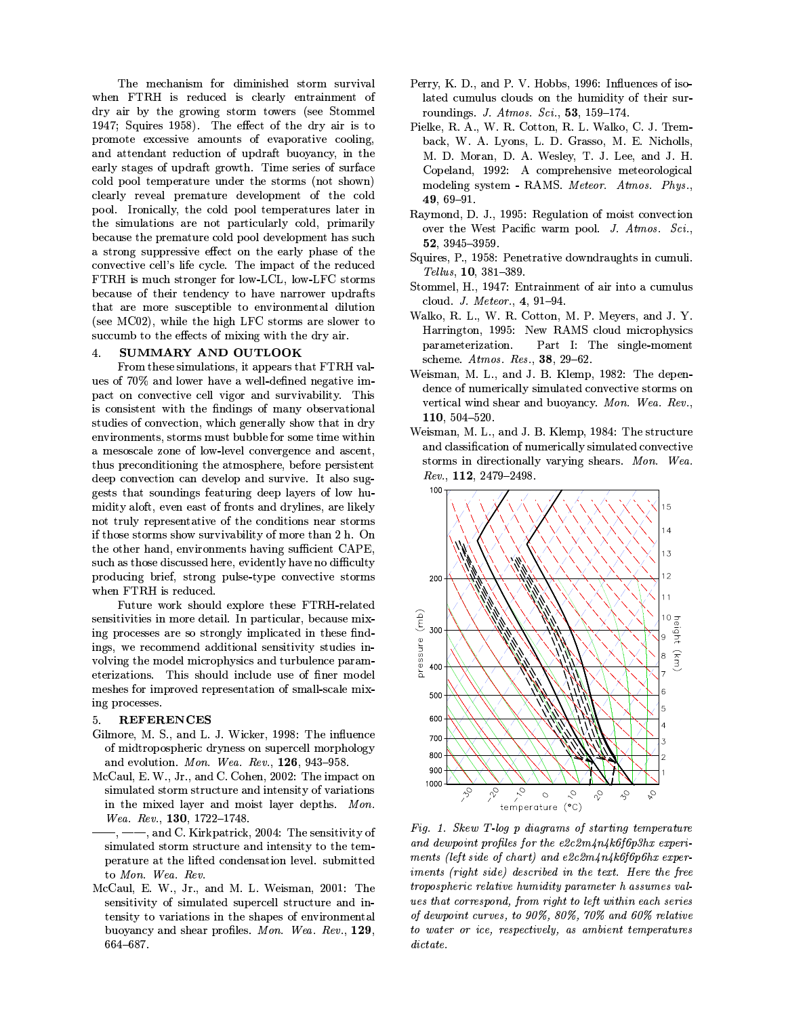The mechanism for diminished storm survival when FTRH is reduced is clearly entrainment of dry air by the growing storm towers (see Stommel 1947; Squires 1958). The effect of the dry air is to promote excessive amounts of evaporative cooling, and attendant reduction of updraft buoyancy, in the early stages of updraft growth. Time series of surface cold pool temperature under the storms (not shown) clearly reveal premature development of the cold pool. Ironically, the cold pool temperatures later in the simulations are not particularly cold, primarily because the premature cold pool development has such a strong suppressive effect on the early phase of the convective cell's life cycle. The impact of the reduced FTRH is much stronger for low-LCL, low-LFC storms because of their tendency to have narrower updrafts that are more susceptible to environmental dilution (see MC02), while the high LFC storms are slower to succumb to the effects of mixing with the dry air.

#### SUMMARY AND OUTLOOK  $\overline{4}$ .

From these simulations, it appears that FTRH values of 70% and lower have a well-defined negative impact on convective cell vigor and survivability. This is consistent with the findings of many observational studies of convection, which generally show that in dry environments, storms must bubble for some time within a mesoscale zone of low-level convergence and ascent, thus preconditioning the atmosphere, before persistent deep convection can develop and survive. It also suggests that soundings featuring deep layers of low humidity aloft, even east of fronts and drylines, are likely not truly representative of the conditions near storms if those storms show survivability of more than 2 h. On the other hand, environments having sufficient CAPE. such as those discussed here, evidently have no difficulty producing brief, strong pulse-type convective storms when FTRH is reduced.

Future work should explore these FTRH-related sensitivities in more detail. In particular, because mixing processes are so strongly implicated in these findings, we recommend additional sensitivity studies involving the model microphysics and turbulence parameterizations. This should include use of finer model meshes for improved representation of small-scale mixing processes.

## **REFERENCES**

- Gilmore, M. S., and L. J. Wicker, 1998: The influence of midtropospheric dryness on supercell morphology and evolution. Mon. Wea. Rev., 126, 943-958.
- McCaul, E. W., Jr., and C. Cohen, 2002: The impact on simulated storm structure and intensity of variations in the mixed layer and moist layer depths. Mon. Wea. Rev., 130, 1722-1748.
- -, and C. Kirkpatrick, 2004: The sensitivity of simulated storm structure and intensity to the temperature at the lifted condensation level. submitted to Mon. Wea. Rev.
- McCaul, E. W., Jr., and M. L. Weisman, 2001: The sensitivity of simulated supercell structure and intensity to variations in the shapes of environmental buoyancy and shear profiles. Mon. Wea. Rev., 129, 664-687.
- Perry, K. D., and P. V. Hobbs, 1996: Influences of isolated cumulus clouds on the humidity of their surroundings. J. Atmos. Sci., 53, 159-174.
- Pielke, R. A., W. R. Cotton, R. L. Walko, C. J. Tremback, W. A. Lyons, L. D. Grasso, M. E. Nicholls, M. D. Moran, D. A. Wesley, T. J. Lee, and J. H. Copeland, 1992: A comprehensive meteorological modeling system - RAMS. Meteor. Atmos. Phys..  $49,69 - 91.$
- Raymond, D. J., 1995: Regulation of moist convection over the West Pacific warm pool. J. Atmos. Sci., 52, 3945-3959.
- Squires, P., 1958: Penetrative downdraughts in cumuli. Tellus, 10, 381-389.
- Stommel, H., 1947: Entrainment of air into a cumulus cloud. J. Meteor., 4, 91-94.
- Walko, R. L., W. R. Cotton, M. P. Meyers, and J. Y. Harrington, 1995: New RAMS cloud microphysics parameterization. Part I: The single-moment scheme. Atmos. Res., 38, 29-62.
- Weisman, M. L., and J. B. Klemp, 1982: The dependence of numerically simulated convective storms on vertical wind shear and buoyancy. Mon. Wea. Rev., 110, 504-520.
- Weisman, M. L., and J. B. Klemp, 1984: The structure and classification of numerically simulated convective storms in directionally varying shears. Mon. Wea.  $Rev., 112, 2479-2498.$



Fig. 1. Skew T-log p diagrams of starting temperature and dewpoint profiles for the e2c2m4n4k6f6p3hx experiments (left side of chart) and e2c2m4n4k6f6p6hx experiments (right side) described in the text. Here the free tropospheric relative humidity parameter h assumes values that correspond, from right to left within each series of dewpoint curves, to 90%, 80%, 70% and 60% relative to water or ice, respectively, as ambient temperatures  $dictate$ .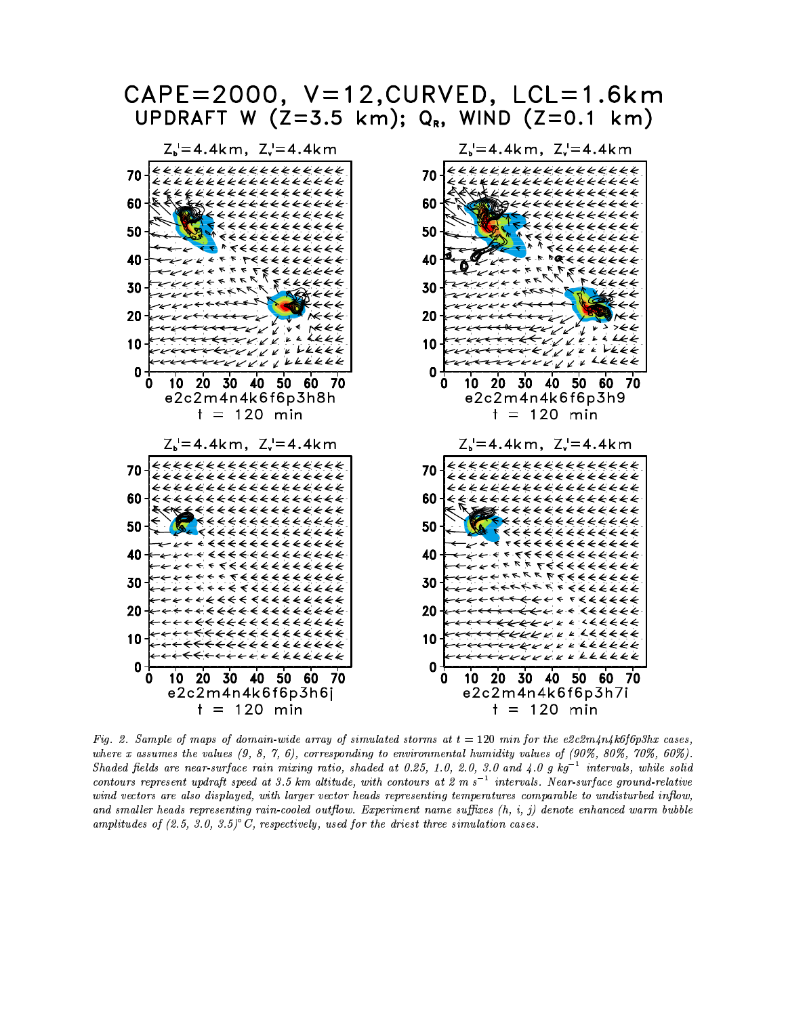

Fig. 2. Sample of maps of domain-wide array of simulated storms at  $t = 120$  min for the e2c2m4n4k6f6p3hx cases, where x assumes the values  $(9, 8, 7, 6)$ , corresponding to environmental humidity values of  $(90\%, 80\%, 70\%, 60\%)$ . Shaded fields are near-surface rain mixing ratio, shaded at 0.25, 1.0, 2.0, 3.0 and 4.0 g  $kg^{-1}$  intervals, while solid contours represent updraft speed at 3.5 km altitude, with contours at 2 m s<sup>-1</sup> intervals. Near-surface ground-relative wind vectors are also displayed, with larger vector heads representing temperatures comparable to undisturbed inflow, and smaller heads representing rain-cooled outflow. Experiment name suffixes  $(h, i, j)$  denote enhanced warm bubble amplitudes of  $(2.5, 3.0, 3.5)$ <sup>o</sup>C, respectively, used for the driest three simulation cases.